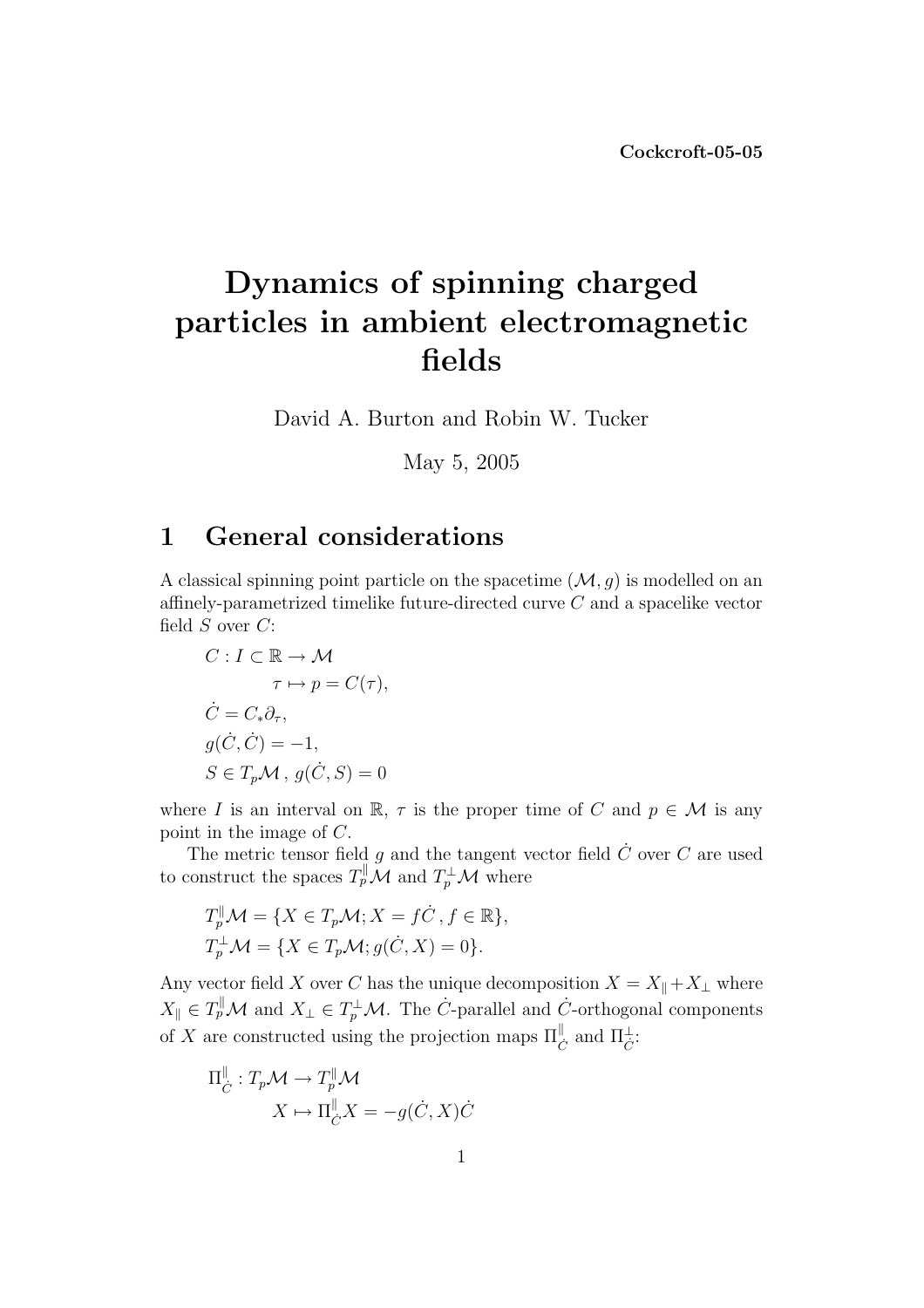## Dynamics of spinning charged particles in ambient electromagnetic fields

David A. Burton and Robin W. Tucker

May 5, 2005

## 1 General considerations

A classical spinning point particle on the spacetime  $(M, g)$  is modelled on an affinely-parametrized timelike future-directed curve C and a spacelike vector field  $S$  over  $C$ :

$$
C: I \subset \mathbb{R} \to \mathcal{M}
$$

$$
\tau \mapsto p = C(\tau),
$$

$$
\dot{C} = C_* \partial_{\tau},
$$

$$
g(\dot{C}, \dot{C}) = -1,
$$

$$
S \in T_p \mathcal{M}, g(\dot{C}, S) = 0
$$

where I is an interval on R,  $\tau$  is the proper time of C and  $p \in \mathcal{M}$  is any point in the image of C.

The metric tensor field  $g$  and the tangent vector field  $\dot{C}$  over  $C$  are used to construct the spaces  $T_p^{\parallel} \mathcal{M}$  and  $T_p^{\perp} \mathcal{M}$  where

$$
T_p^{\parallel} \mathcal{M} = \{ X \in T_p \mathcal{M}; X = f \dot{C}, f \in \mathbb{R} \},
$$
  

$$
T_p^{\perp} \mathcal{M} = \{ X \in T_p \mathcal{M}; g(\dot{C}, X) = 0 \}.
$$

Any vector field X over C has the unique decomposition  $X = X_{\parallel} + X_{\perp}$  where  $X_{\parallel} \in T_p^{\parallel} \mathcal{M}$  and  $X_{\perp} \in T_p^{\perp} \mathcal{M}$ . The C-parallel and C-orthogonal components of X are constructed using the projection maps  $\Pi_{\dot{C}}^{\parallel}$  and  $\Pi_{\dot{C}}^{\perp}$ :

$$
\Pi_{\dot{C}}^{\parallel}: T_p \mathcal{M} \to T_p^{\parallel} \mathcal{M}
$$

$$
X \mapsto \Pi_{\dot{C}}^{\parallel} X = -g(\dot{C}, X)\dot{C}
$$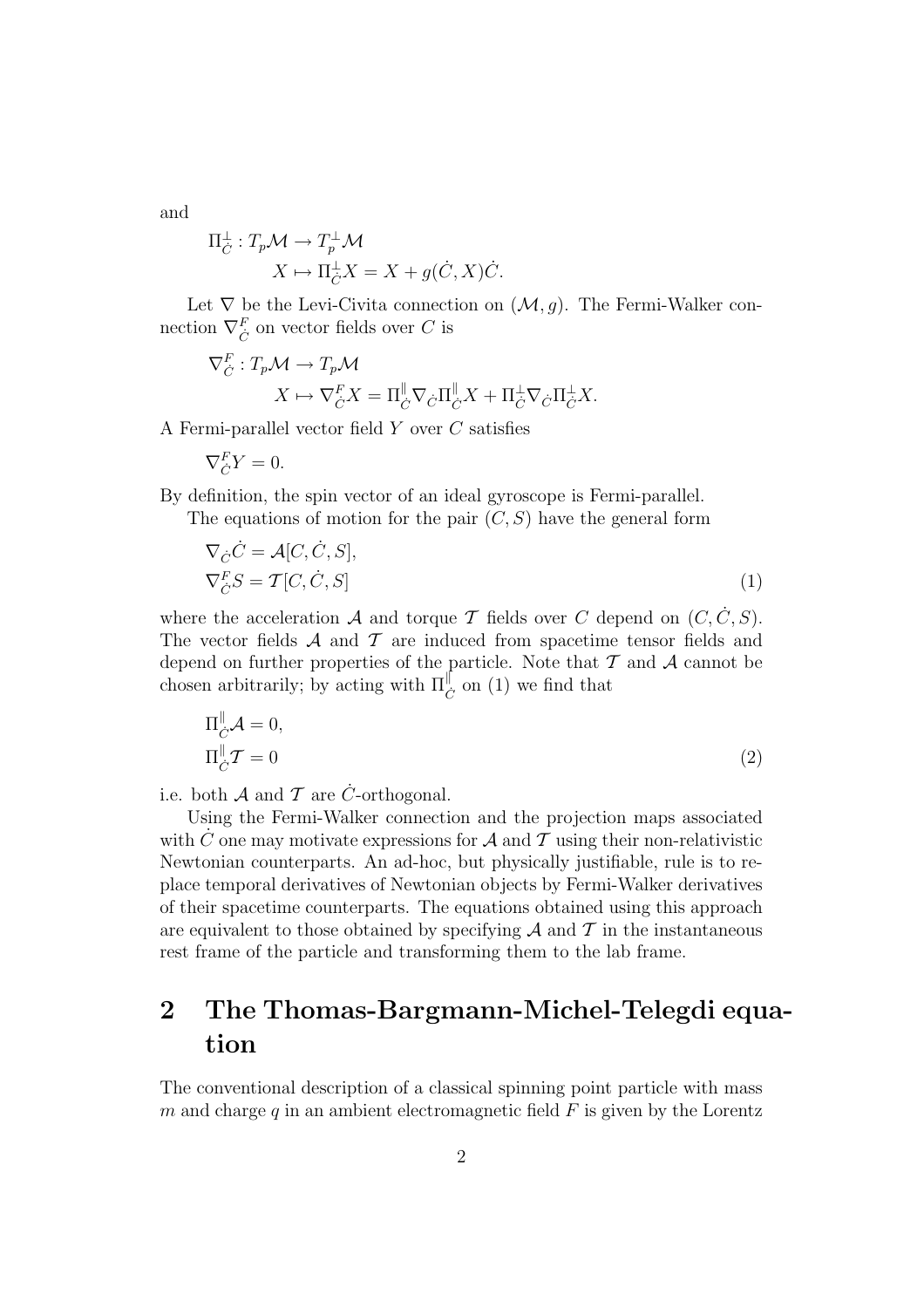and

$$
\Pi_{\dot{C}}^{\perp} : T_p \mathcal{M} \to T_p^{\perp} \mathcal{M}
$$

$$
X \mapsto \Pi_{\dot{C}}^{\perp} X = X + g(\dot{C}, X)\dot{C}.
$$

Let  $\nabla$  be the Levi-Civita connection on  $(\mathcal{M}, g)$ . The Fermi-Walker connection  $\nabla_{\dot{C}}^F$  on vector fields over  $C$  is

$$
\nabla_{\dot{C}}^F : T_p \mathcal{M} \to T_p \mathcal{M}
$$

$$
X \mapsto \nabla_{\dot{C}}^F X = \Pi_{\dot{C}}^{\parallel} \nabla_{\dot{C}} \Pi_{\dot{C}}^{\parallel} X + \Pi_{\dot{C}}^{\perp} \nabla_{\dot{C}} \Pi_{\dot{C}}^{\perp} X.
$$

A Fermi-parallel vector field Y over C satisfies

$$
\nabla_{\dot{C}}^F Y = 0.
$$

By definition, the spin vector of an ideal gyroscope is Fermi-parallel.

The equations of motion for the pair  $(C, S)$  have the general form

$$
\nabla_{\dot{C}} \dot{C} = \mathcal{A}[C, \dot{C}, S],
$$
  
\n
$$
\nabla_{\dot{C}}^F S = \mathcal{T}[C, \dot{C}, S]
$$
\n(1)

where the acceleration  $A$  and torque  $T$  fields over  $C$  depend on  $(C, \dot{C}, S)$ . The vector fields  $A$  and  $T$  are induced from spacetime tensor fields and depend on further properties of the particle. Note that  $T$  and  $A$  cannot be chosen arbitrarily; by acting with  $\Pi_{\dot{C}}^{\parallel}$  on (1) we find that

$$
\Pi_{\dot{C}}^{\parallel} \mathcal{A} = 0,
$$
\n
$$
\Pi_{\dot{C}}^{\parallel} \mathcal{T} = 0
$$
\n
$$
(2)
$$

i.e. both  $A$  and  $T$  are  $\dot{C}$ -orthogonal.

Using the Fermi-Walker connection and the projection maps associated with  $\hat{C}$  one may motivate expressions for  $\hat{\mathcal{A}}$  and  $\hat{\mathcal{T}}$  using their non-relativistic Newtonian counterparts. An ad-hoc, but physically justifiable, rule is to replace temporal derivatives of Newtonian objects by Fermi-Walker derivatives of their spacetime counterparts. The equations obtained using this approach are equivalent to those obtained by specifying  $A$  and  $T$  in the instantaneous rest frame of the particle and transforming them to the lab frame.

## 2 The Thomas-Bargmann-Michel-Telegdi equation

The conventional description of a classical spinning point particle with mass m and charge q in an ambient electromagnetic field  $F$  is given by the Lorentz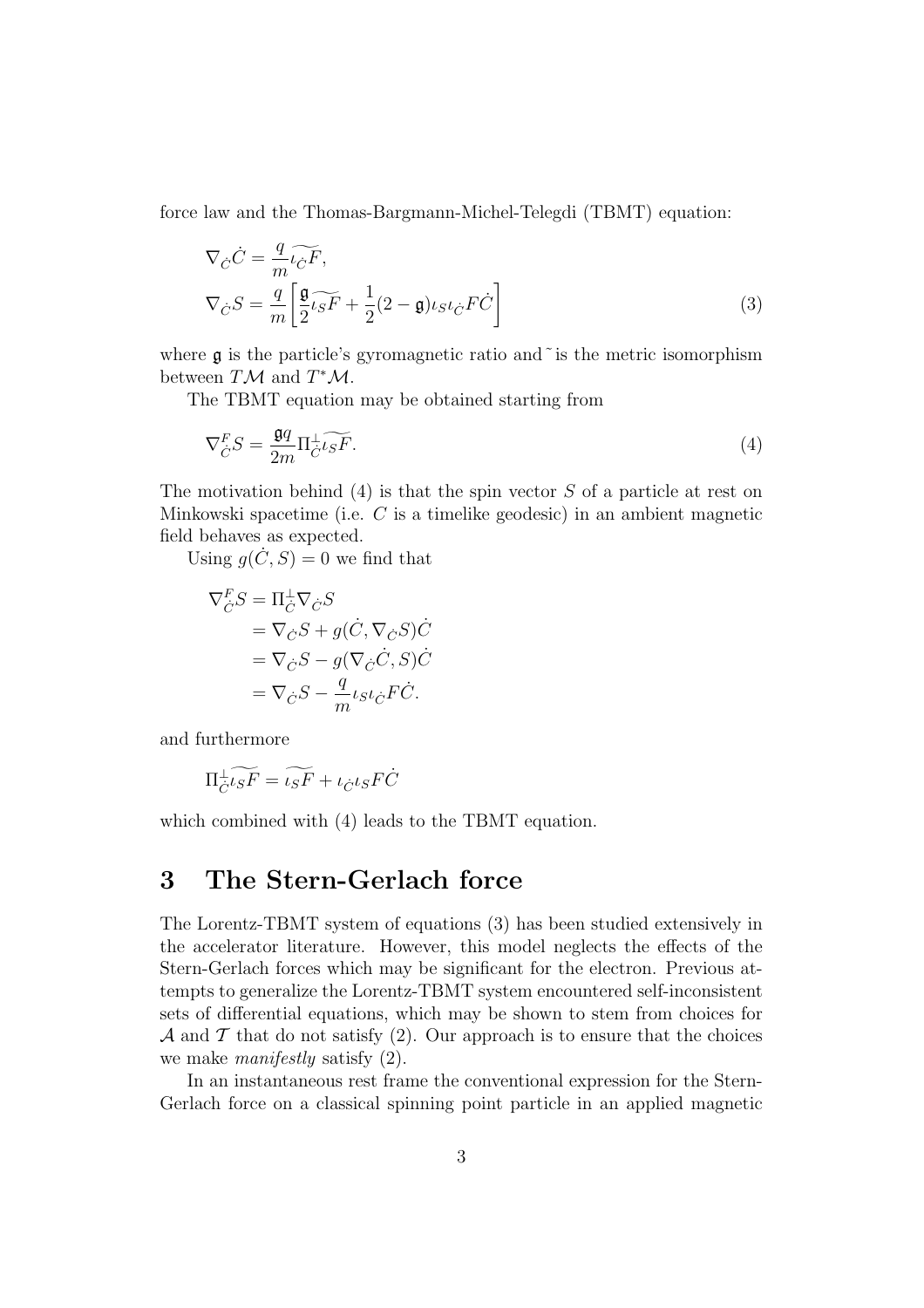force law and the Thomas-Bargmann-Michel-Telegdi (TBMT) equation:

$$
\nabla_{\dot{C}} \dot{C} = \frac{q}{m} \widetilde{\iota_{\dot{C}} F},
$$
\n
$$
\nabla_{\dot{C}} S = \frac{q}{m} \left[ \frac{\mathfrak{g}}{2} \widetilde{\iota_{S} F} + \frac{1}{2} (2 - \mathfrak{g}) \iota_{S} \iota_{\dot{C}} F \dot{C} \right]
$$
\n(3)

where  $\mathfrak g$  is the particle's gyromagnetic ratio and  $\tilde{\ }$  is the metric isomorphism between  $T\mathcal{M}$  and  $T^*\mathcal{M}$ .

The TBMT equation may be obtained starting from

$$
\nabla_C^F S = \frac{\mathfrak{g}q}{2m} \Pi_C^{\perp} \widetilde{\iota_S F}.
$$
\n<sup>(4)</sup>

The motivation behind  $(4)$  is that the spin vector S of a particle at rest on Minkowski spacetime (i.e. C is a timelike geodesic) in an ambient magnetic field behaves as expected.

Using  $g(\dot{C}, S) = 0$  we find that

$$
\nabla_C^F S = \Pi_C^{\perp} \nabla_C S \n= \nabla_C S + g(\dot{C}, \nabla_C S) \dot{C} \n= \nabla_{\dot{C}} S - g(\nabla_{\dot{C}} \dot{C}, S) \dot{C} \n= \nabla_{\dot{C}} S - \frac{q}{m} \iota_{S} \iota_{\dot{C}} F \dot{C}.
$$

and furthermore

$$
\Pi_{\dot{C}}^{\perp} \widetilde{\iota_S F} = \widetilde{\iota_S F} + \iota_{\dot{C}} \iota_S F \dot{C}
$$

which combined with (4) leads to the TBMT equation.

## 3 The Stern-Gerlach force

The Lorentz-TBMT system of equations (3) has been studied extensively in the accelerator literature. However, this model neglects the effects of the Stern-Gerlach forces which may be significant for the electron. Previous attempts to generalize the Lorentz-TBMT system encountered self-inconsistent sets of differential equations, which may be shown to stem from choices for A and T that do not satisfy (2). Our approach is to ensure that the choices we make *manifestly* satisfy  $(2)$ .

In an instantaneous rest frame the conventional expression for the Stern-Gerlach force on a classical spinning point particle in an applied magnetic